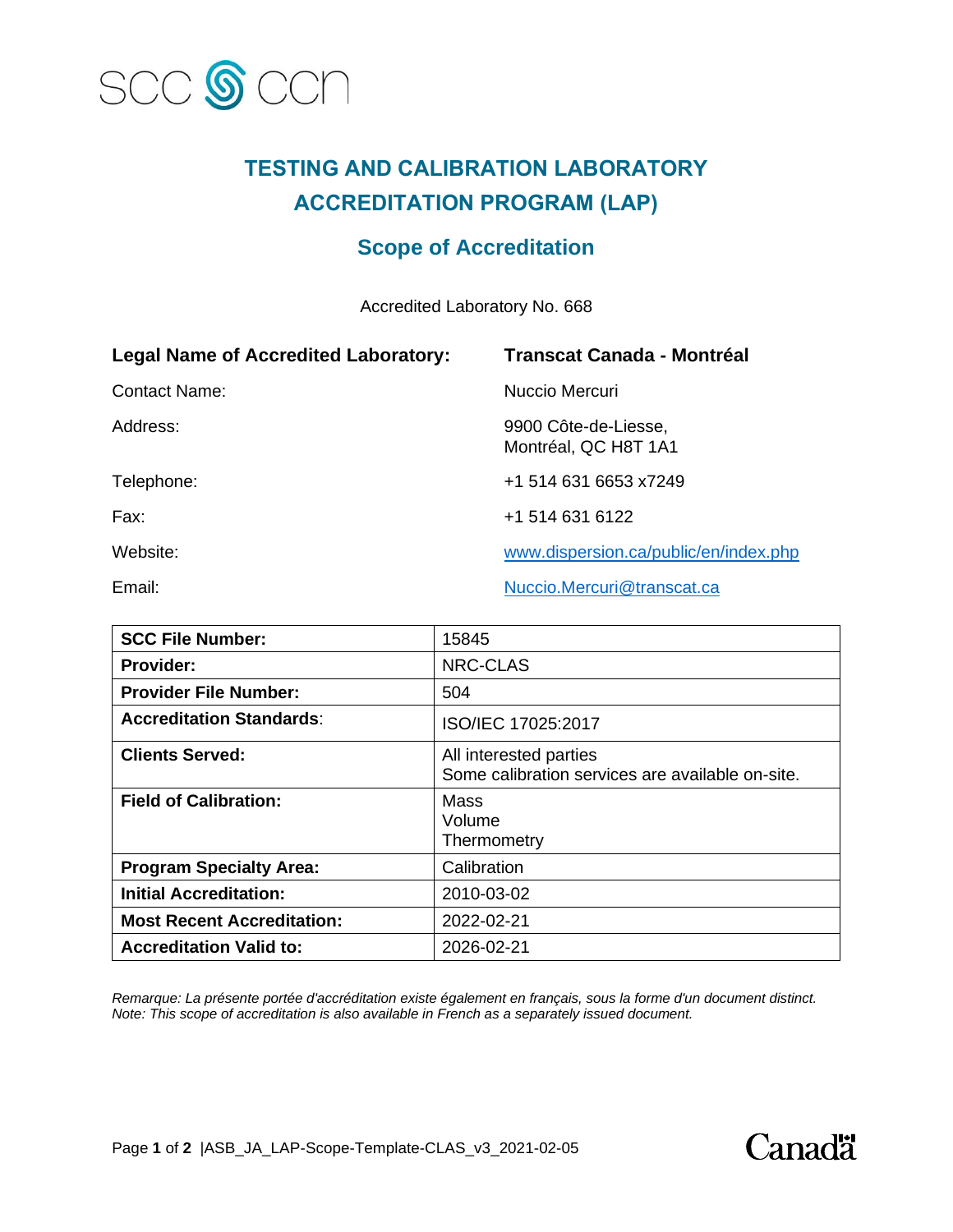

## **TESTING AND CALIBRATION LABORATORY ACCREDITATION PROGRAM (LAP)**

## **Scope of Accreditation**

Accredited Laboratory No. 668

| <b>Legal Name of Accredited Laboratory:</b> | <b>Transcat Canada - Montréal</b>            |
|---------------------------------------------|----------------------------------------------|
| <b>Contact Name:</b>                        | Nuccio Mercuri                               |
| Address:                                    | 9900 Côte-de-Liesse,<br>Montréal, QC H8T 1A1 |
| Telephone:                                  | +1 514 631 6653 x7249                        |
| Fax:                                        | +1 514 631 6122                              |
| Website:                                    | www.dispersion.ca/public/en/index.php        |
| Email:                                      | Nuccio.Mercuri@transcat.ca                   |

| <b>SCC File Number:</b>           | 15845                                                                      |
|-----------------------------------|----------------------------------------------------------------------------|
| <b>Provider:</b>                  | <b>NRC-CLAS</b>                                                            |
| <b>Provider File Number:</b>      | 504                                                                        |
| <b>Accreditation Standards:</b>   | ISO/IEC 17025:2017                                                         |
| <b>Clients Served:</b>            | All interested parties<br>Some calibration services are available on-site. |
| <b>Field of Calibration:</b>      | Mass<br>Volume<br>Thermometry                                              |
| <b>Program Specialty Area:</b>    | Calibration                                                                |
| <b>Initial Accreditation:</b>     | 2010-03-02                                                                 |
| <b>Most Recent Accreditation:</b> | 2022-02-21                                                                 |
| <b>Accreditation Valid to:</b>    | 2026-02-21                                                                 |

*Remarque: La présente portée d'accréditation existe également en français, sous la forme d'un document distinct. Note: This scope of accreditation is also available in French as a separately issued document.*